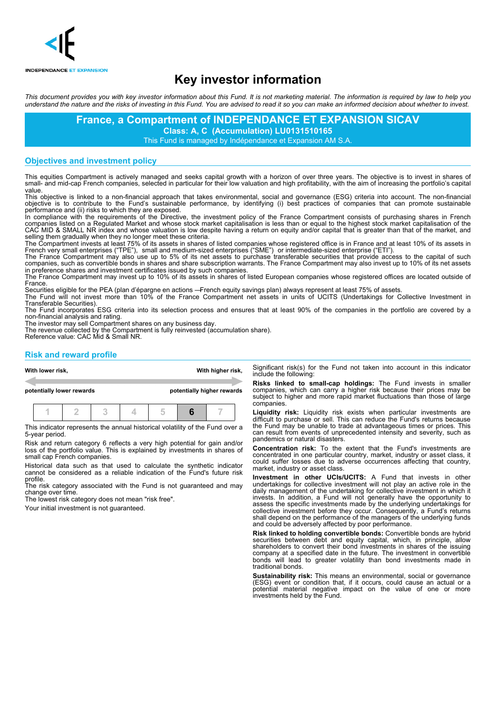

# **Key investor information**

This document provides you with key investor information about this Fund. It is not marketing material. The information is required by law to help you understand the nature and the risks of investing in this Fund. You are advised to read it so you can make an informed decision about whether to invest.

> **France, a Compartment of INDEPENDANCE ET EXPANSION SICAV Class: A, C (Accumulation) LU0131510165**

This Fund is managed by Indépendance et Expansion AM S.A.

### **Objectives and investment policy**

This equities Compartment is actively managed and seeks capital growth with a horizon of over three years. The objective is to invest in shares of small- and mid-cap French companies, selected in particular for their low valuation and high profitability, with the aim of increasing the portfolio's capital value.

This objective is linked to a non-financial approach that takes environmental, social and governance (ESG) criteria into account. The non-financial objective is to contribute to the Fund's sustainable performance, by identifying (i) best practices of companies that can promote sustainable performance and (ii) risks to which they are exposed.

In compliance with the requirements of the Directive, the investment policy of the France Compartment consists of purchasing shares in French companies listed on a Regulated Market and whose stock market capitalisation is less than or equal to the highest stock market capitalisation of the CAC MID & SMALL NR index and whose valuation is low despite having a return on equity and/or capital that is greater than that of the market, and selling them gradually when they no longer meet these criteria.

The Compartment invests at least 75% of its assets in shares of listed companies whose registered office is in France and at least 10% of its assets in French very small enterprises ("TPE"), small and medium-sized enterprises ("SME") or intermediate-sized enterprise ("ETI").

The France Compartment may also use up to 5% of its net assets to purchase transferable securities that provide access to the capital of such companies, such as convertible bonds in shares and share subscription warrants. The France Compartment may also invest up to 10% of its net assets in preference shares and investment certificates issued by such companies.

The France Compartment may invest up to 10% of its assets in shares of listed European companies whose registered offices are located outside of France.

Securities eligible for the PEA (plan d'épargne en actions —French equity savings plan) always represent at least 75% of assets. The Fund will not invest more than 10% of the France Compartment net assets in units of UCITS (Undertakings for Collective Investment in Transferable Securities).

The Fund incorporates ESG criteria into its selection process and ensures that at least 90% of the companies in the portfolio are covered by a non-financial analysis and rating.

The investor may sell Compartment shares on any business day.

The revenue collected by the Compartment is fully reinvested (accumulation share). Reference value: CAC Mid & Small NR.

## **Risk and reward profile**

|                           | With lower risk, |  |  |  | With higher risk,       |  |                            | Significant risk(s) for the Fund not taken into account in t<br>include the following:                                                                                              |
|---------------------------|------------------|--|--|--|-------------------------|--|----------------------------|-------------------------------------------------------------------------------------------------------------------------------------------------------------------------------------|
| potentially lower rewards |                  |  |  |  |                         |  | potentially higher rewards | Risks linked to small-cap holdings: The Fund invests<br>companies, which can carry a higher risk because their pri<br>subject to higher and more rapid market fluctuations than the |
|                           |                  |  |  |  | $1$   2   3   4   5   7 |  |                            | companies.<br>Liquidity risk: Liquidity risk exists when particular inve<br>difficult to propose a seal This see padves the Fundle patri                                            |

This indicator represents the annual historical volatility of the Fund over a 5-year period.

Risk and return category 6 reflects a very high potential for gain and/or loss of the portfolio value. This is explained by investments in shares of small cap French companies.

Historical data such as that used to calculate the synthetic indicator cannot be considered as a reliable indication of the Fund's future risk

profile. The risk category associated with the Fund is not guaranteed and may change over time.

The lowest risk category does not mean "risk free".

Your initial investment is not guaranteed.

this indicator

**R**in smaller ices may be ose of large

**Light** stments are This can reduce the Fund's returns because the Fund may be unable to trade at advantageous times or prices. This can result from events of unprecedented intensity and severity, such as pandemics or natural disasters.

**Concentration risk:** To the extent that the Fund's investments are concentrated in one particular country, market, industry or asset class, it could suffer losses due to adverse occurrences affecting that country, market, industry or asset class.

**Investment in other UCIs/UCITS:** A Fund that invests in other undertakings for collective investment will not play an active role in the daily management of the undertaking for collective investment in which it invests. In addition, a Fund will not generally have the opportunity to assess the specific investments made by the underlying undertakings for collective investment before they occur. Consequently, a Fund's returns shall depend on the performance of the managers of the underlying funds and could be adversely affected by poor performance.

**Risk linked to holding convertible bonds:** Convertible bonds are hybrid securities between debt and equity capital, which, in principle, allow shareholders to convert their bond investments in shares of the issuing company at a specified date in the future. The investment in convertible bonds will lead to greater volatility than bond investments made in traditional bonds.

**Sustainability risk:** This means an environmental, social or governance (ESG) event or condition that, if it occurs, could cause an actual or a potential material negative impact on the value of one or more investments held by the Fund.